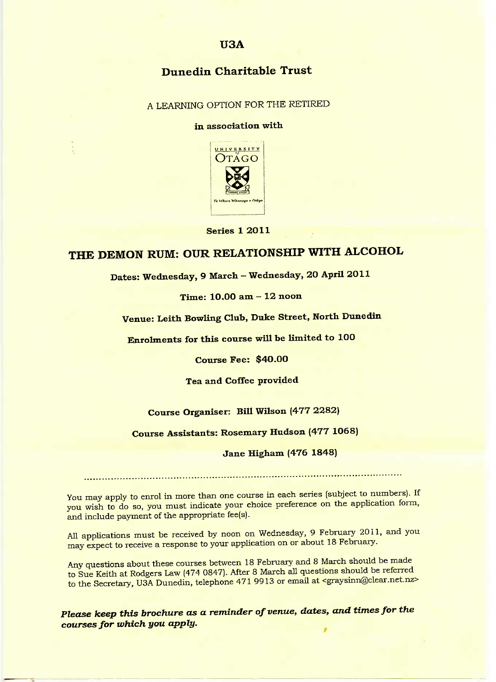# **Dunedin Charitable Trust**

### **A LEARNING OPTION FOR THE RETIRED**

#### **in association with**



**Series 1 2011**

# **THE DEMON RUM: OUR RELATIONSHIP WITH ALCOHOL**

**Dates: Wednesday, 9 March - Wednesday, 2O April 2011**

#### **Time: 10.00 am - 12 noon**

# **Venue: Leith Bowling Club, Duke Street, North Dunedin**

**Enrolments for this course will be limited to 10O**

**Course Fee: \$4O.OO**

## **Tea and Coffee provided**

## **Course Organiser: Bill Wilson (477 2282)**

# **Course Assistants: Rosemary Hudson (477 1068)**

#### **Jane Higham (476 1848)**

You may apply to enrol in more than one course in each series (subject to numbers). If you wish to do so, you must indicate your choice preference on the application form, and include payment of the appropriate fee(s).

All applications must be received by noon on Wednesday, 9 February 2011, and you may expect to receive a response to your application on or about 18 February.

Any questions about these courses between 18 February and 8 March should be made to Sue Keith at Rodgers Law (474 0847). After 8 March all questions should be referred to the Secretary, USA Dunedin, telephone 471 9913 or email at <graysinn@clear.net.nz>

*Please* **keep this** *brochure as a reminder of* **venue,** *dates, and times for the courses for which you apply.* 9